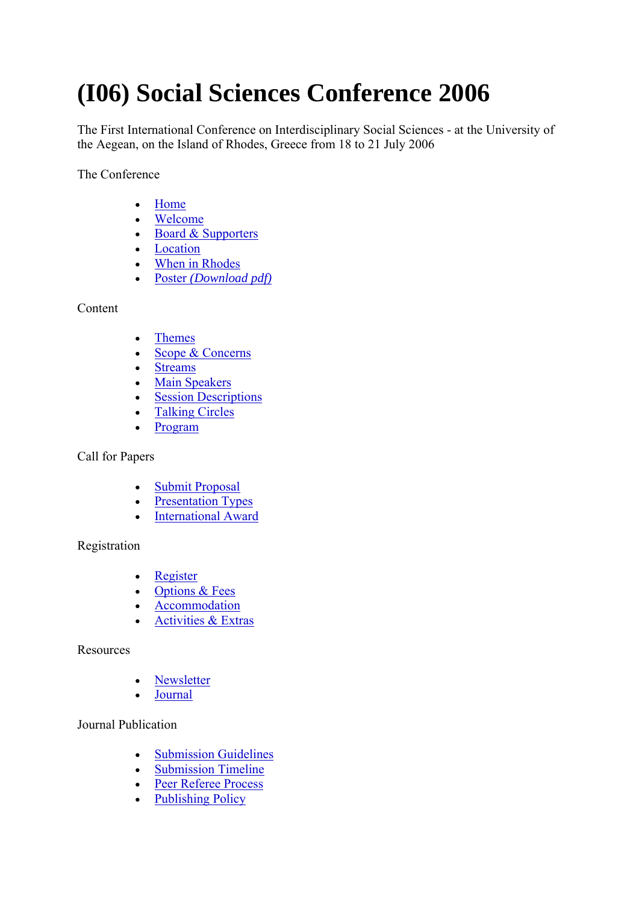# **(I06) Social Sciences Conference 2006**

The First International Conference on Interdisciplinary Social Sciences - at the University of the Aegean, on the Island of Rhodes, Greece from 18 to 21 July 2006

The Conference

- Home
- Welcome
- Board & Supporters
- Location
- When in Rhodes
- Poster *(Download pdf)*

Content

- Themes
- Scope & Concerns
- Streams
- Main Speakers
- Session Descriptions
- Talking Circles
- Program

Call for Papers

- Submit Proposal
- Presentation Types
- International Award

## Registration

- Register
- Options & Fees
- Accommodation
- Activities & Extras

## Resources

- Newsletter
- Journal

## Journal Publication

- Submission Guidelines
- Submission Timeline
- Peer Referee Process
- Publishing Policy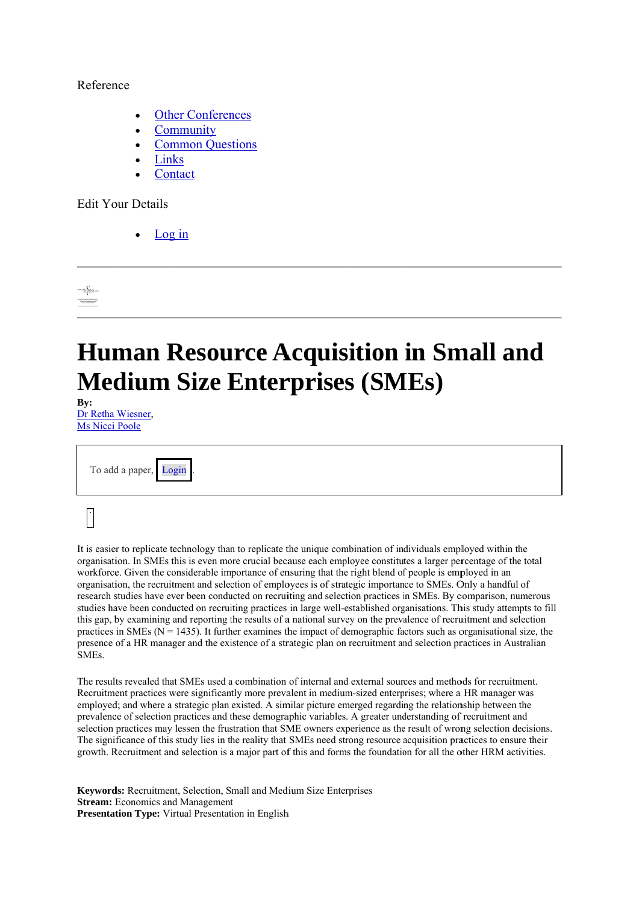## Reference

- **Other Conferences**
- Community
- **Common Questions**
- Links
- Contact

**Edit Your Details** 

Log in

sor <u>fot</u>er

## **Human Resource Acquisition in Small and Medium Size Enterprises (SMEs)**

Bv: Dr Retha Wiesner, Ms Nicci Poole

| To add a paper, Login. |  |
|------------------------|--|
|                        |  |

It is easier to replicate technology than to replicate the unique combination of individuals employed within the organisation. In SMEs this is even more crucial because each employee constitutes a larger percentage of the total workforce. Given the considerable importance of ensuring that the right blend of people is employed in an organisation, the recruitment and selection of employees is of strategic importance to SMEs. Only a handful of research studies have ever been conducted on recruiting and selection practices in SMEs. By comparison, numerous studies have been conducted on recruiting practices in large well-established organisations. This study attempts to fill this gap, by examining and reporting the results of a national survey on the prevalence of recruitment and selection practices in SMEs ( $N = 1435$ ). It further examines the impact of demographic factors such as organisational size, the presence of a HR manager and the existence of a strategic plan on recruitment and selection practices in Australian **SMEs** 

The results revealed that SMEs used a combination of internal and external sources and methods for recruitment. Recruitment practices were significantly more prevalent in medium-sized enterprises: where a HR manager was employed; and where a strategic plan existed. A similar picture emerged regarding the relationship between the prevalence of selection practices and these demographic variables. A greater understanding of recruitment and selection practices may lessen the frustration that SME owners experience as the result of wrong selection decisions. The significance of this study lies in the reality that SMEs need strong resource acquisition practices to ensure their growth. Recruitment and selection is a major part of this and forms the foundation for all the other HRM activities.

Keywords: Recruitment, Selection, Small and Medium Size Enterprises **Stream:** Economics and Management Presentation Type: Virtual Presentation in English